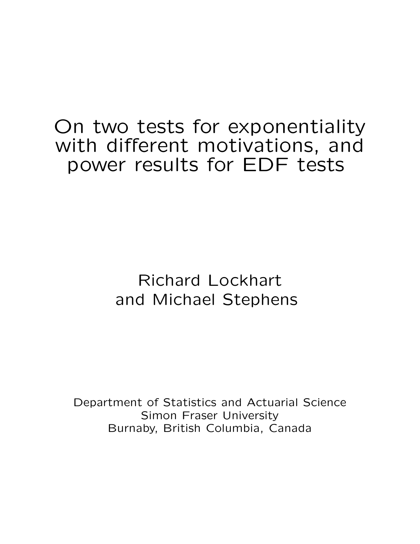# On two tests for exponentiality with different motivations, and power results for EDF tests

# Richard Lockhart and Michael Stephens

Department of Statistics and Actuarial Science Simon Fraser University Burnaby, British Columbia, Canada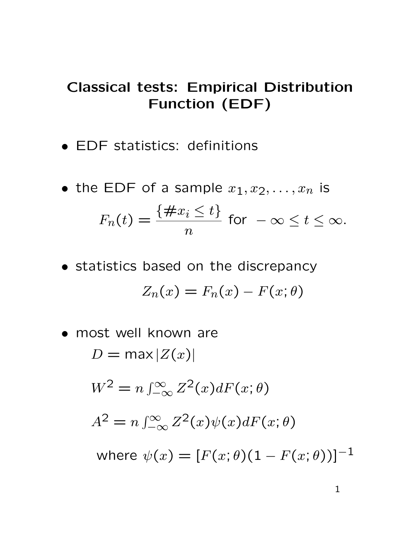## Classical tests: Empirical Distribution Function (EDF)

- EDF statistics: definitions
- the EDF of a sample  $x_1, x_2, \ldots, x_n$  is  $F_n(t) =$  $\{\#x_i \leq t\}$  $\overline{n}$ for  $-\infty \leq t \leq \infty$ .
- statistics based on the discrepancy  $Z_n(x) = F_n(x) - F(x; \theta)$
- most well known are  $D = \max |Z(x)|$  $W^2 = n \int_{-\infty}^{\infty} Z^2(x) dF(x; \theta)$  $A^2 = n \int_{-\infty}^{\infty} Z^2(x) \psi(x) dF(x; \theta)$ where  $\psi(x) = [F(x; \theta)(1 - F(x; \theta))]^{-1}$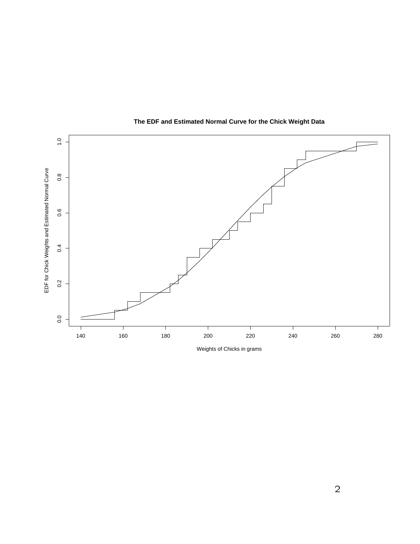

#### **The EDF and Estimated Normal Curve for the Chick Weight Data**

Weights of Chicks in grams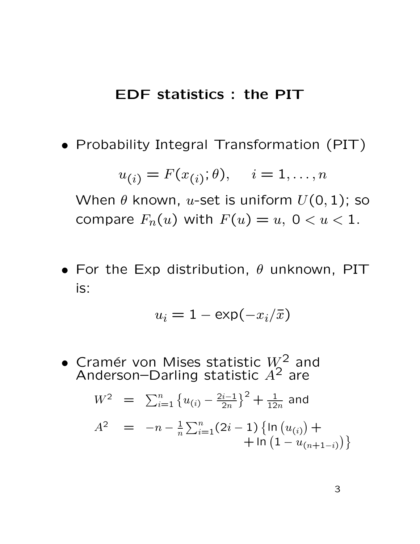#### EDF statistics : the PIT

• Probability Integral Transformation (PIT)

$$
u_{(i)} = F(x_{(i)}; \theta), \quad i = 1, \dots, n
$$

When  $\theta$  known, u-set is uniform  $U(0, 1)$ ; so compare  $F_n(u)$  with  $F(u) = u, 0 < u < 1$ .

• For the Exp distribution,  $\theta$  unknown, PIT is:

$$
u_i = 1 - \exp(-x_i/\bar{x})
$$

• Cramér von Mises statistic  $W^2$  and Anderson–Darling statistic  $A^2$  are

$$
W^{2} = \sum_{i=1}^{n} \{u_{(i)} - \frac{2i-1}{2n}\}^{2} + \frac{1}{12n}
$$
 and  

$$
A^{2} = -n - \frac{1}{n} \sum_{i=1}^{n} (2i - 1) \{ \ln (u_{(i)}) + \ln (1 - u_{(n+1-i)}) \}
$$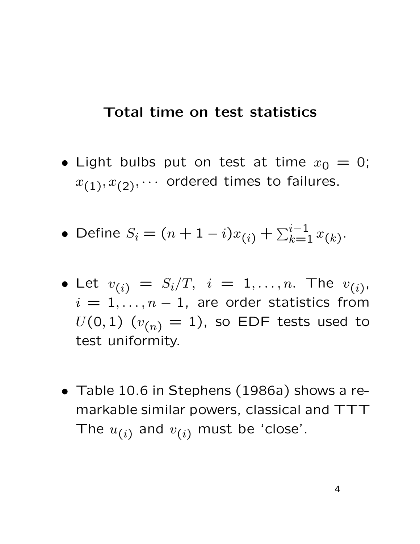#### Total time on test statistics

- Light bulbs put on test at time  $x_0 = 0$ ;  $x_{(1)}, x_{(2)}, \cdots$  ordered times to failures.
- Define  $S_i = (n+1-i)x_{(i)} + \sum_{k=1}^{i-1} x_{(k)}$ .
- Let  $v_{(i)} = S_i/T, i = 1,...,n$ . The  $v_{(i)}$ ,  $i = 1, \ldots, n - 1$ , are order statistics from  $U(0, 1)$   $(v_{(n)} = 1)$ , so EDF tests used to test uniformity.
- Table 10.6 in Stephens (1986a) shows a remarkable similar powers, classical and TTT The  $u_{(i)}$  and  $v_{(i)}$  must be 'close'.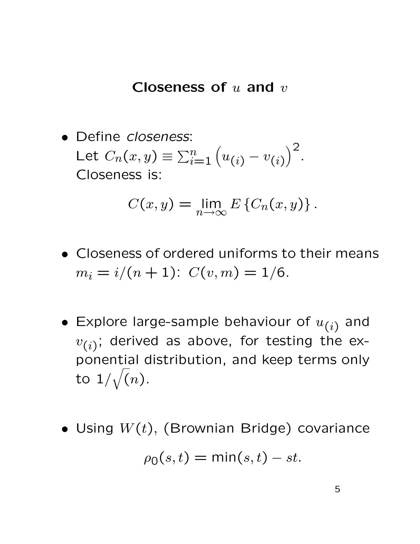#### Closeness of  $u$  and  $v$

• Define *closeness*: Let  $C_n(x,y) \equiv \sum_{i=1}^n (u_{(i)} - v_{(i)})$  $\big)^2$ . Closeness is:

$$
C(x,y) = \lim_{n \to \infty} E\left\{C_n(x,y)\right\}.
$$

- Closeness of ordered uniforms to their means  $m_i = i/(n + 1)$ :  $C(v, m) = 1/6$ .
- Explore large-sample behaviour of  $u_{(i)}$  and  $v_{(i)}$ ; derived as above, for testing the exponential distribution, and keep terms only to  $1/\sqrt(n)$ .
- Using  $W(t)$ , (Brownian Bridge) covariance  $\rho_0(s,t) = \min(s,t) - st.$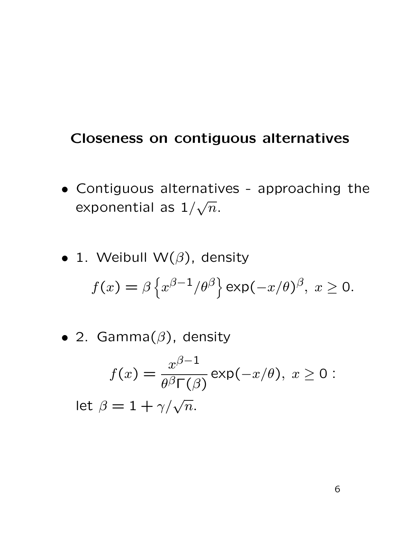#### Closeness on contiguous alternatives

- Contiguous alternatives approaching the exponential as  $1/\sqrt{n}$ .
- 1. Weibull W $(\beta)$ , density  $f(x)=\beta\left\{x^{\beta-1}/\theta^{\beta}\right\}$  exp $(-x/\theta)^{\beta},\;x\geq0.$
- 2. Gamma $(\beta)$ , density

$$
f(x) = \frac{x^{\beta - 1}}{\theta^{\beta} \Gamma(\beta)} \exp(-x/\theta), \ x \ge 0:
$$

let  $\beta = 1 + \gamma/\sqrt{ }$  $\overline{n}$ .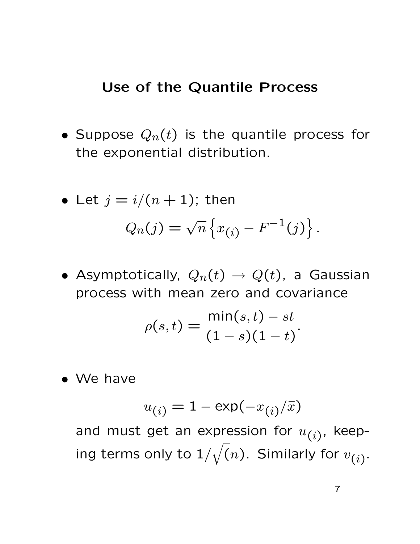#### Use of the Quantile Process

• Suppose  $Q_n(t)$  is the quantile process for the exponential distribution.

• Let 
$$
j = i/(n + 1)
$$
; then  

$$
Q_n(j) = \sqrt{n} \{x_{(i)} - F^{-1}(j)\}.
$$

• Asymptotically,  $Q_n(t) \to Q(t)$ , a Gaussian process with mean zero and covariance

$$
\rho(s,t) = \frac{\min(s,t) - st}{(1 - s)(1 - t)}.
$$

• We have

$$
u_{(i)} = 1 - \exp(-x_{(i)}/\bar{x})
$$

and must get an expression for  $u_{(i)}$ , keeping terms only to  $1/\sqrt(n).$  Similarly for  $v_{(i)}.$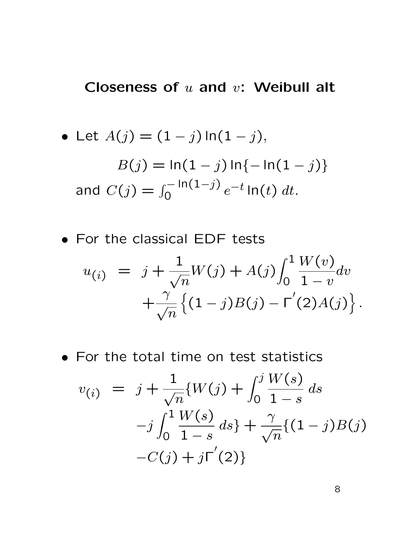### Closeness of  $u$  and  $v$ : Weibull alt

• Let 
$$
A(j) = (1 - j) \ln(1 - j)
$$
,  
\n
$$
B(j) = \ln(1 - j) \ln\{-\ln(1 - j)\}
$$
\nand  $C(j) = \int_0^{-\ln(1 - j)} e^{-t} \ln(t) dt$ .

• For the classical EDF tests

$$
u_{(i)} = j + \frac{1}{\sqrt{n}} W(j) + A(j) \int_0^1 \frac{W(v)}{1 - v} dv + \frac{\gamma}{\sqrt{n}} \left\{ (1 - j)B(j) - \Gamma'(2)A(j) \right\}.
$$

• For the total time on test statistics

$$
v_{(i)} = j + \frac{1}{\sqrt{n}} \{W(j) + \int_0^j \frac{W(s)}{1-s} ds
$$
  
-j  $\int_0^1 \frac{W(s)}{1-s} ds$  +  $\frac{\gamma}{\sqrt{n}} \{(1-j)B(j)$   
-C(j) + j $\Gamma'(2)$ }

8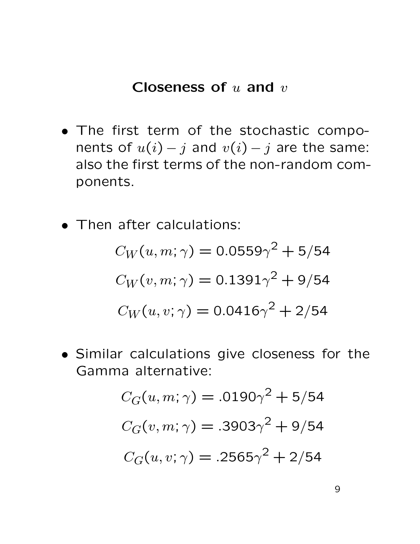#### Closeness of  $u$  and  $v$

- The first term of the stochastic components of  $u(i) - j$  and  $v(i) - j$  are the same: also the first terms of the non-random components.
- Then after calculations:

$$
C_W(u, m; \gamma) = 0.0559\gamma^2 + 5/54
$$

$$
C_W(v, m; \gamma) = 0.1391\gamma^2 + 9/54
$$

$$
C_W(u, v; \gamma) = 0.0416\gamma^2 + 2/54
$$

• Similar calculations give closeness for the Gamma alternative:

$$
C_G(u, m; \gamma) = .0190\gamma^2 + 5/54
$$

$$
C_G(v, m; \gamma) = .3903\gamma^2 + 9/54
$$

$$
C_G(u, v; \gamma) = .2565\gamma^2 + 2/54
$$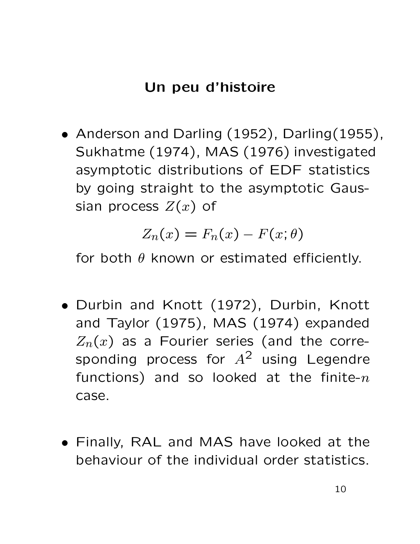## Un peu d'histoire

• Anderson and Darling (1952), Darling (1955), Sukhatme (1974), MAS (1976) investigated asymptotic distributions of EDF statistics by going straight to the asymptotic Gaussian process  $Z(x)$  of

$$
Z_n(x) = F_n(x) - F(x; \theta)
$$

for both  $\theta$  known or estimated efficiently.

- Durbin and Knott (1972), Durbin, Knott and Taylor (1975), MAS (1974) expanded  $Z_n(x)$  as a Fourier series (and the corresponding process for  $A^2$  using Legendre functions) and so looked at the finite- $n$ case.
- Finally, RAL and MAS have looked at the behaviour of the individual order statistics.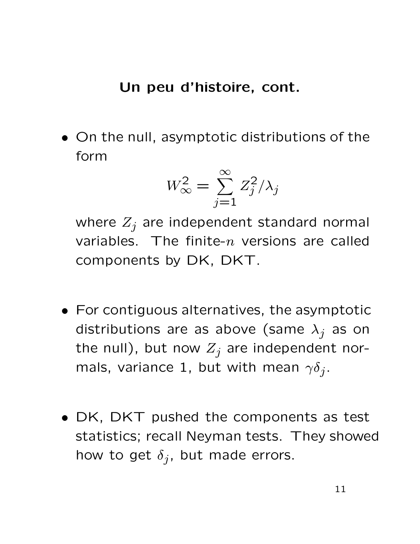#### Un peu d'histoire, cont.

• On the null, asymptotic distributions of the form

$$
W_{\infty}^2 = \sum_{j=1}^{\infty} Z_j^2 / \lambda_j
$$

where  $Z_j$  are independent standard normal variables. The finite- $n$  versions are called components by DK, DKT.

- For contiguous alternatives, the asymptotic distributions are as above (same  $\lambda_j$  as on the null), but now  $Z_j$  are independent normals, variance 1, but with mean  $\gamma \delta_j$ .
- DK, DKT pushed the components as test statistics; recall Neyman tests. They showed how to get  $\delta_j$ , but made errors.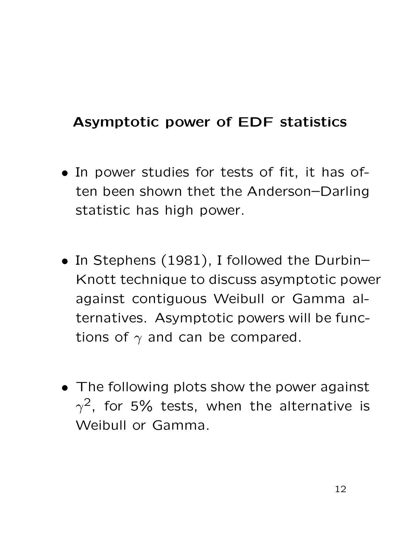## Asymptotic power of EDF statistics

- In power studies for tests of fit, it has often been shown thet the Anderson–Darling statistic has high power.
- In Stephens (1981), I followed the Durbin– Knott technique to discuss asymptotic power against contiguous Weibull or Gamma alternatives. Asymptotic powers will be functions of  $\gamma$  and can be compared.
- The following plots show the power against  $\gamma^2$ , for 5% tests, when the alternative is Weibull or Gamma.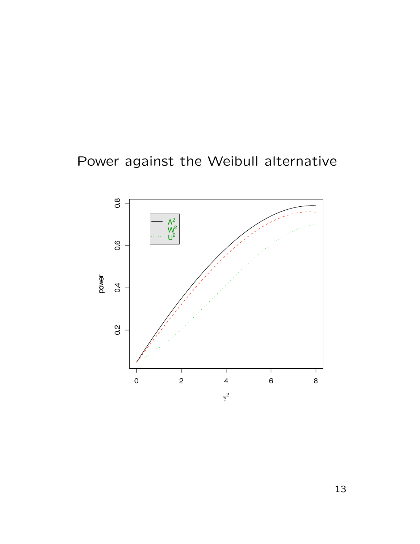# Power against the Weibull alternative



13